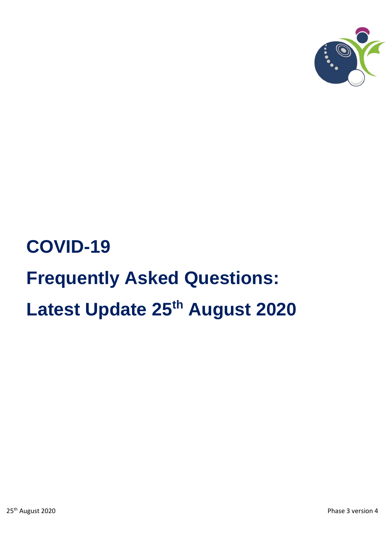

# **COVID-19 Frequently Asked Questions: Latest Update 25th August 2020**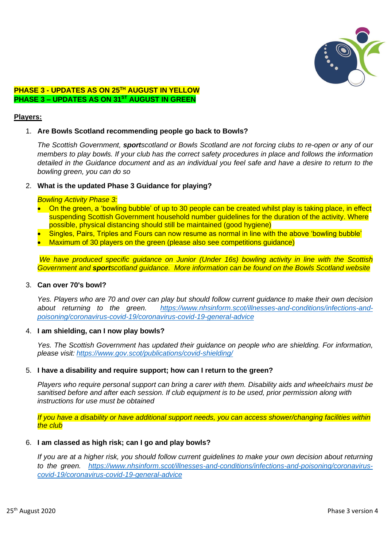

# **PHASE 3 - UPDATES AS ON 25 TH AUGUST IN YELLOW PHASE 3 – UPDATES AS ON 31ST AUGUST IN GREEN**

## **Players:**

# 1. **Are Bowls Scotland recommending people go back to Bowls?**

*The Scottish Government, sportscotland or Bowls Scotland are not forcing clubs to re-open or any of our members to play bowls. If your club has the correct safety procedures in place and follows the information detailed in the Guidance document and as an individual you feel safe and have a desire to return to the bowling green, you can do so*

# 2. **What is the updated Phase 3 Guidance for playing?**

#### *Bowling Activity Phase 3:*

- On the green, a 'bowling bubble' of up to 30 people can be created whilst play is taking place, in effect suspending Scottish Government household number quidelines for the duration of the activity. Where possible, physical distancing should still be maintained (good hygiene)
- Singles, Pairs, Triples and Fours can now resume as normal in line with the above 'bowling bubble'
- Maximum of 30 players on the green (please also see competitions guidance)

*We have produced specific guidance on Junior (Under 16s) bowling activity in line with the Scottish Government and sportscotland guidance. More information can be found on the Bowls Scotland website*

#### 3. **Can over 70's bowl?**

*Yes. Players who are 70 and over can play but should follow current guidance to make their own decision about returning to the green. [https://www.nhsinform.scot/illnesses-and-conditions/infections-and](https://www.nhsinform.scot/illnesses-and-conditions/infections-and-poisoning/coronavirus-covid-19/coronavirus-covid-19-general-advice)[poisoning/coronavirus-covid-19/coronavirus-covid-19-general-advice](https://www.nhsinform.scot/illnesses-and-conditions/infections-and-poisoning/coronavirus-covid-19/coronavirus-covid-19-general-advice)*

#### 4. **I am shielding, can I now play bowls?**

*Yes. The Scottish Government has updated their guidance on people who are shielding. For information, please visit: <https://www.gov.scot/publications/covid-shielding/>*

#### 5. **I have a disability and require support; how can I return to the green?**

*Players who require personal support can bring a carer with them. Disability aids and wheelchairs must be sanitised before and after each session. If club equipment is to be used, prior permission along with instructions for use must be obtained*

*If you have a disability or have additional support needs, you can access shower/changing facilities within the club*

#### 6. **I am classed as high risk; can I go and play bowls?**

*If you are at a higher risk, you should follow current guidelines to make your own decision about returning to the green. [https://www.nhsinform.scot/illnesses-and-conditions/infections-and-poisoning/coronavirus](https://www.nhsinform.scot/illnesses-and-conditions/infections-and-poisoning/coronavirus-covid-19/coronavirus-covid-19-general-advice)[covid-19/coronavirus-covid-19-general-advice](https://www.nhsinform.scot/illnesses-and-conditions/infections-and-poisoning/coronavirus-covid-19/coronavirus-covid-19-general-advice)*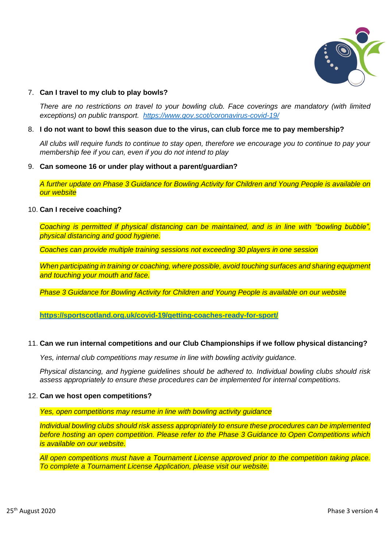

# 7. **Can I travel to my club to play bowls?**

*There are no restrictions on travel to your bowling club. Face coverings are mandatory (with limited exceptions) on public transport. <https://www.gov.scot/coronavirus-covid-19/>*

#### 8. **I do not want to bowl this season due to the virus, can club force me to pay membership?**

*All clubs will require funds to continue to stay open, therefore we encourage you to continue to pay your membership fee if you can, even if you do not intend to play*

#### 9. **Can someone 16 or under play without a parent/guardian?**

*A further update on Phase 3 Guidance for Bowling Activity for Children and Young People is available on our website*

#### 10. **Can I receive coaching?**

*Coaching is permitted if physical distancing can be maintained, and is in line with "bowling bubble"*. *physical distancing and good hygiene.* 

*Coaches can provide multiple training sessions not exceeding 30 players in one session*

*When participating in training or coaching, where possible, avoid touching surfaces and sharing equipment and touching your mouth and face.*

*Phase 3 Guidance for Bowling Activity for Children and Young People is available on our website*

**<https://sportscotland.org.uk/covid-19/getting-coaches-ready-for-sport/>**

#### 11. **Can we run internal competitions and our Club Championships if we follow physical distancing?**

*Yes, internal club competitions may resume in line with bowling activity guidance.*

*Physical distancing, and hygiene guidelines should be adhered to. Individual bowling clubs should risk assess appropriately to ensure these procedures can be implemented for internal competitions.*

#### 12. **Can we host open competitions?**

*Yes, open competitions may resume in line with bowling activity guidance*

*Individual bowling clubs should risk assess appropriately to ensure these procedures can be implemented before hosting an open competition. Please refer to the Phase 3 Guidance to Open Competitions which is available on our website.* 

*All open competitions must have a Tournament License approved prior to the competition taking place. To complete a Tournament License Application, please visit our website.*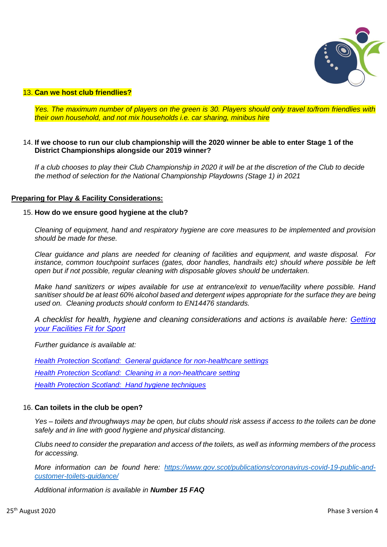

#### 13. **Can we host club friendlies?**

*Yes. The maximum number of players on the green is 30. Players should only travel to/from friendlies with their own household, and not mix households i.e. car sharing, minibus hire*

# 14. **If we choose to run our club championship will the 2020 winner be able to enter Stage 1 of the District Championships alongside our 2019 winner?**

*If a club chooses to play their Club Championship in 2020 it will be at the discretion of the Club to decide the method of selection for the National Championship Playdowns (Stage 1) in 2021*

#### **Preparing for Play & Facility Considerations:**

#### 15. **How do we ensure good hygiene at the club?**

*Cleaning of equipment, hand and respiratory hygiene are core measures to be implemented and provision should be made for these.* 

*Clear guidance and plans are needed for cleaning of facilities and equipment, and waste disposal. For*  instance, common touchpoint surfaces (gates, door handles, handrails etc) should where possible be left *open but if not possible, regular cleaning with disposable gloves should be undertaken.*

*Make hand sanitizers or wipes available for use at entrance/exit to venue/facility where possible. Hand sanitiser should be at least 60% alcohol based and detergent wipes appropriate for the surface they are being used on. Cleaning products should conform to EN14476 standards.*

*A checklist for health, hygiene and cleaning considerations and actions is available here: [Getting](http://www.sportscotland.org.uk/covid-19/getting-your-facilities-fit-for-sport/)  [your Facilities Fit for Sport](http://www.sportscotland.org.uk/covid-19/getting-your-facilities-fit-for-sport/)*

*Further guidance is available at:*

*[Health Protection Scotland: General guidance for non-healthcare settings](http://www.hps.scot.nhs.uk/web-resources-container/covid-19-guidance-for-non-healthcare-settings/) [Health Protection Scotland: Cleaning in a non-healthcare setting](http://www.gov.uk/government/publications/covid-19-decontamination-in-non-healthcare-settings/covid-19-decontamination-in-non-healthcare-settings) [Health Protection Scotland: Hand hygiene techniques](http://www.hps.scot.nhs.uk/a-to-z-of-topics/hand-hygiene/)*

# 16. **Can toilets in the club be open?**

*Yes – toilets and throughways may be open, but clubs should risk assess if access to the toilets can be done safely and in line with good hygiene and physical distancing.*

*Clubs need to consider the preparation and access of the toilets, as well as informing members of the process for accessing.* 

*More information can be found here: [https://www.gov.scot/publications/coronavirus-covid-19-public-and](https://www.gov.scot/publications/coronavirus-covid-19-public-and-customer-toilets-guidance/)[customer-toilets-guidance/](https://www.gov.scot/publications/coronavirus-covid-19-public-and-customer-toilets-guidance/)*

*Additional information is available in Number 15 FAQ*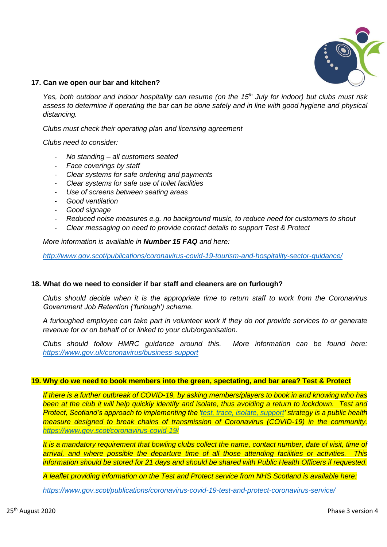

## **17. Can we open our bar and kitchen?**

*Yes, both outdoor and indoor hospitality can resume (on the 15th July for indoor) but clubs must risk assess to determine if operating the bar can be done safely and in line with good hygiene and physical distancing.* 

*Clubs must check their operating plan and licensing agreement*

*Clubs need to consider:*

- *No standing – all customers seated*
- *Face coverings by staff*
- *Clear systems for safe ordering and payments*
- *Clear systems for safe use of toilet facilities*
- *Use of screens between seating areas*
- *Good ventilation*
- *Good signage*
- *Reduced noise measures e.g. no background music, to reduce need for customers to shout*
- *Clear messaging on need to provide contact details to support Test & Protect*

*More information is available in Number 15 FAQ and here:*

*<http://www.gov.scot/publications/coronavirus-covid-19-tourism-and-hospitality-sector-guidance/>*

#### **18. What do we need to consider if bar staff and cleaners are on furlough?**

*Clubs should decide when it is the appropriate time to return staff to work from the Coronavirus Government Job Retention ('furlough') scheme.*

*A furloughed employee can take part in volunteer work if they do not provide services to or generate revenue for or on behalf of or linked to your club/organisation.*

*Clubs should follow HMRC guidance around this. More information can be found here: <https://www.gov.uk/coronavirus/business-support>*

#### **19. Why do we need to book members into the green, spectating, and bar area? Test & Protect**

*If there is a further outbreak of COVID-19, by asking members/players to book in and knowing who has*  **been at the club it will help quickly identify and isolate, thus avoiding a return to lockdown. Test and** *Protect, Scotland's approach to implementing the ['test, trace, isolate, support](https://www.gov.scot/publications/coronavirus-covid-19-test-trace-isolate-support/pages/3/)' strategy is a public health measure designed to break chains of transmission of Coronavirus (COVID-19) in the community. <https://www.gov.scot/coronavirus-covid-19/>*

*It is a mandatory requirement that bowling clubs collect the name, contact number, date of visit, time of arrival, and where possible the departure time of all those attending facilities or activities. This information should be stored for 21 days and should be shared with Public Health Officers if requested.*

*A leaflet providing information on the Test and Protect service from NHS Scotland is available here:*

*<https://www.gov.scot/publications/coronavirus-covid-19-test-and-protect-coronavirus-service/>*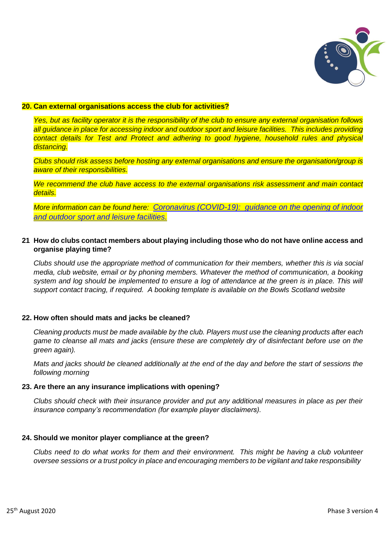

## **20. Can external organisations access the club for activities?**

*Yes, but as facility operator it is the responsibility of the club to ensure any external organisation follows all guidance in place for accessing indoor and outdoor sport and leisure facilities. This includes providing contact details for Test and Protect and adhering to good hygiene, household rules and physical distancing.* 

*Clubs should risk assess before hosting any external organisations and ensure the organisation/group is aware of their responsibilities.*

*We recommend the club have access to the external organisations risk assessment and main contact details.*

*More information can be found here: [Coronavirus \(COVID-19\): guidance on the opening of indoor](http://www.gov.scot/publications/coronavirus-covid-19-guidance-on-sport-and-leisure-facilities)  [and outdoor sport and leisure facilities.](http://www.gov.scot/publications/coronavirus-covid-19-guidance-on-sport-and-leisure-facilities)*

# **21 How do clubs contact members about playing including those who do not have online access and organise playing time?**

*Clubs should use the appropriate method of communication for their members, whether this is via social media, club website, email or by phoning members. Whatever the method of communication, a booking system and log should be implemented to ensure a log of attendance at the green is in place. This will support contact tracing, if required. A booking template is available on the Bowls Scotland website*

#### **22. How often should mats and jacks be cleaned?**

*Cleaning products must be made available by the club. Players must use the cleaning products after each game to cleanse all mats and jacks (ensure these are completely dry of disinfectant before use on the green again).*

*Mats and jacks should be cleaned additionally at the end of the day and before the start of sessions the following morning*

#### **23. Are there an any insurance implications with opening?**

*Clubs should check with their insurance provider and put any additional measures in place as per their insurance company's recommendation (for example player disclaimers).*

#### **24. Should we monitor player compliance at the green?**

*Clubs need to do what works for them and their environment. This might be having a club volunteer oversee sessions or a trust policy in place and encouraging members to be vigilant and take responsibility*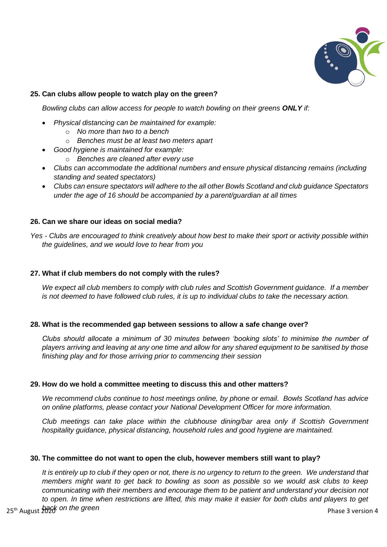

# **25. Can clubs allow people to watch play on the green?**

*Bowling clubs can allow access for people to watch bowling on their greens ONLY if:*

- *Physical distancing can be maintained for example:*
	- o *No more than two to a bench*
	- o *Benches must be at least two meters apart*
- *Good hygiene is maintained for example:*
	- o *Benches are cleaned after every use*
- *Clubs can accommodate the additional numbers and ensure physical distancing remains (including standing and seated spectators)*
- *Clubs can ensure spectators will adhere to the all other Bowls Scotland and club guidance Spectators under the age of 16 should be accompanied by a parent/guardian at all times*

# **26. Can we share our ideas on social media?**

*Yes - Clubs are encouraged to think creatively about how best to make their sport or activity possible within the guidelines, and we would love to hear from you*

# **27. What if club members do not comply with the rules?**

*We expect all club members to comply with club rules and Scottish Government guidance. If a member is not deemed to have followed club rules, it is up to individual clubs to take the necessary action.*

#### **28. What is the recommended gap between sessions to allow a safe change over?**

*Clubs should allocate a minimum of 30 minutes between 'booking slots' to minimise the number of players arriving and leaving at any one time and allow for any shared equipment to be sanitised by those finishing play and for those arriving prior to commencing their session*

#### **29. How do we hold a committee meeting to discuss this and other matters?**

*We recommend clubs continue to host meetings online, by phone or email. Bowls Scotland has advice on online platforms, please contact your National Development Officer for more information.*

*Club meetings can take place within the clubhouse dining/bar area only if Scottish Government hospitality guidance, physical distancing, household rules and good hygiene are maintained.* 

#### **30. The committee do not want to open the club, however members still want to play?**

*It is entirely up to club if they open or not, there is no urgency to return to the green. We understand that members might want to get back to bowling as soon as possible so we would ask clubs to keep communicating with their members and encourage them to be patient and understand your decision not to open. In time when restrictions are lifted, this may make it easier for both clubs and players to get*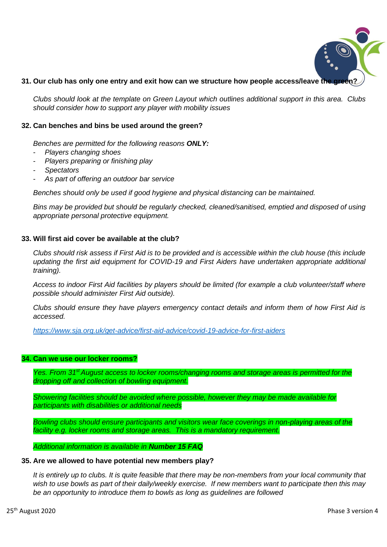

# 31. Our club has only one entry and exit how can we structure how people access/leave the

*Clubs should look at the template on Green Layout which outlines additional support in this area. Clubs should consider how to support any player with mobility issues*

## **32. Can benches and bins be used around the green?**

*Benches are permitted for the following reasons ONLY:*

- *Players changing shoes*
- *Players preparing or finishing play*
- *Spectators*
- *As part of offering an outdoor bar service*

*Benches should only be used if good hygiene and physical distancing can be maintained.*

*Bins may be provided but should be regularly checked, cleaned/sanitised, emptied and disposed of using appropriate personal protective equipment.*

# **33. Will first aid cover be available at the club?**

*Clubs should risk assess if First Aid is to be provided and is accessible within the club house (this include updating the first aid equipment for COVID-19 and First Aiders have undertaken appropriate additional training).*

*Access to indoor First Aid facilities by players should be limited (for example a club volunteer/staff where possible should administer First Aid outside).*

*Clubs should ensure they have players emergency contact details and inform them of how First Aid is accessed.*

*<https://www.sja.org.uk/get-advice/first-aid-advice/covid-19-advice-for-first-aiders>*

#### **34. Can we use our locker rooms?**

*Yes. From 31st August access to locker rooms/changing rooms and storage areas is permitted for the dropping off and collection of bowling equipment.*

*Showering facilities should be avoided where possible, however they may be made available for participants with disabilities or additional needs* 

*Bowling clubs should ensure participants and visitors wear face coverings in non-playing areas of the facility e.g. locker rooms and storage areas. This is a mandatory requirement.*

*Additional information is available in Number 15 FAQ* 

#### **35. Are we allowed to have potential new members play?**

*It is entirely up to clubs. It is quite feasible that there may be non-members from your local community that wish to use bowls as part of their daily/weekly exercise. If new members want to participate then this may be an opportunity to introduce them to bowls as long as guidelines are followed*